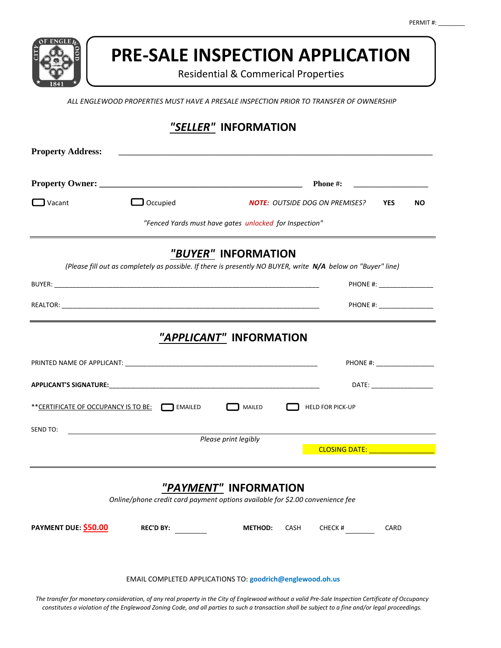

# **PRE-SALE INSPECTION APPLICATION**

Residential & Commerical Properties

*ALL ENGLEWOOD PROPERTIES MUST HAVE A PRESALE INSPECTION PRIOR TO TRANSFER OF OWNERSHIP*

| "SELLER" INFORMATION     |                                                                                                              |                                         |                                       |                                      |
|--------------------------|--------------------------------------------------------------------------------------------------------------|-----------------------------------------|---------------------------------------|--------------------------------------|
| <b>Property Address:</b> |                                                                                                              |                                         |                                       |                                      |
|                          |                                                                                                              | Phone #:                                |                                       |                                      |
| Vacant                   | $\Box$ Occupied                                                                                              |                                         | <b>NOTE: OUTSIDE DOG ON PREMISES?</b> | <b>YES</b><br>NO.                    |
|                          | "Fenced Yards must have gates unlocked for Inspection"                                                       |                                         |                                       |                                      |
|                          | (Please fill out as completely as possible. If there is presently NO BUYER, write N/A below on "Buyer" line) | "BUYER" INFORMATION                     |                                       |                                      |
|                          |                                                                                                              |                                         |                                       | PHONE #: ___________________         |
|                          |                                                                                                              |                                         |                                       |                                      |
|                          |                                                                                                              | "APPLICANT" INFORMATION                 |                                       |                                      |
|                          |                                                                                                              |                                         |                                       | PHONE #: ____________________        |
|                          |                                                                                                              |                                         |                                       | DATE: ____________________           |
|                          | ** CERTIFICATE OF OCCUPANCY IS TO BE: MAILED                                                                 | MAILED                                  | <b>HELD FOR PICK-UP</b>               |                                      |
| SEND TO:                 |                                                                                                              | Please print legibly                    |                                       |                                      |
|                          |                                                                                                              |                                         |                                       | CLOSING DATE: New York CLOSING DATE: |
| PAYMENT DUE: \$50.00     | Online/phone credit card payment options available for \$2.00 convenience fee<br>REC'D BY:                   | "PAYMENT" INFORMATION<br><b>METHOD:</b> | CASH<br>CHECK $#$                     | CARD                                 |
|                          | EMAIL COMPLETED APPLICATIONS TO: goodrich@englewood.oh.us                                                    |                                         |                                       |                                      |

*The transfer for monetary consideration, of any real property in the City of Englewood without a valid Pre-Sale Inspection Certificate of Occupancy constitutes a violation of the Englewood Zoning Code, and all parties to such a transaction shall be subject to a fine and/or legal proceedings.*